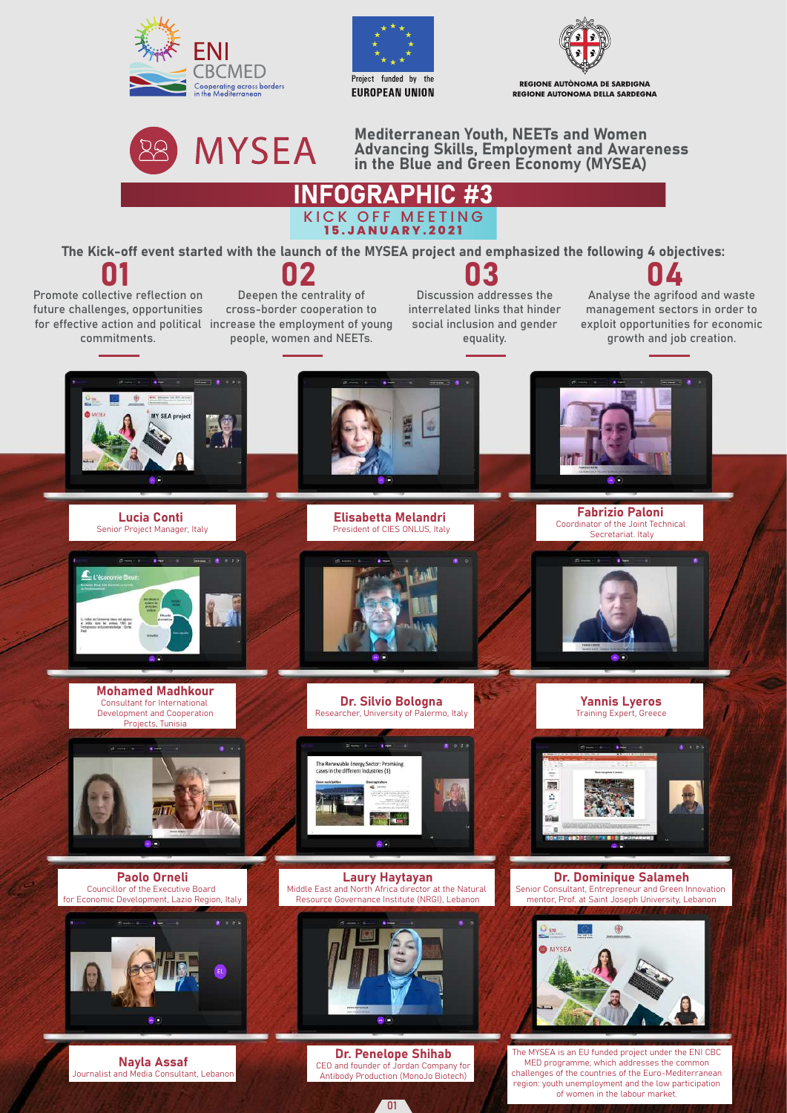





REGIONE AUTÒNOMA DE SARDIGNA REGIONE AUTONOMA DELLA SARDEGNA



Mediterranean Youth, NEETs and Women Advancing Skills, Employment and Awareness in the Blue and Green Economy (MYSEA)



The Kick-off event started with the launch of the MYSEA project and emphasized the following 4 objectives:



03 Discussion addresses the interrelated links that hinder social inclusion and gender equality.

**04**<br>Analyse the agrifood and waste management sectors in order to exploit opportunities for economic growth and job creation.



01